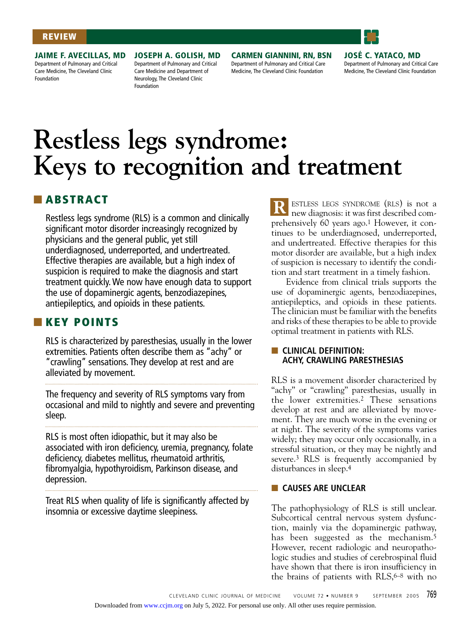#### **REVIEW**



**JAIME F. AVECILLAS, MD** Department of Pulmonary and Critical Care Medicine, The Cleveland Clinic Foundation

**JOSEPH A. GOLISH, MD** Department of Pulmonary and Critical Care Medicine and Department of Neurology, The Cleveland Clinic Foundation

**CARMEN GIANNINI, RN, BSN** Department of Pulmonary and Critical Care Medicine, The Cleveland Clinic Foundation

**JOSÉ C. YATACO, MD** Department of Pulmonary and Critical Care Medicine, The Cleveland Clinic Foundation

# **Restless legs syndrome: Keys to recognition and treatment**

# ■ **ABSTRACT**

Restless legs syndrome (RLS) is a common and clinically significant motor disorder increasingly recognized by physicians and the general public, yet still underdiagnosed, underreported, and undertreated. Effective therapies are available, but a high index of suspicion is required to make the diagnosis and start treatment quickly. We now have enough data to support the use of dopaminergic agents, benzodiazepines, antiepileptics, and opioids in these patients.

## ■ **KEY POINTS**

RLS is characterized by paresthesias, usually in the lower extremities. Patients often describe them as "achy" or "crawling" sensations. They develop at rest and are alleviated by movement.

The frequency and severity of RLS symptoms vary from occasional and mild to nightly and severe and preventing sleep.

RLS is most often idiopathic, but it may also be associated with iron deficiency, uremia, pregnancy, folate deficiency, diabetes mellitus, rheumatoid arthritis, fibromyalgia, hypothyroidism, Parkinson disease, and depression.

Treat RLS when quality of life is significantly affected by insomnia or excessive daytime sleepiness.

ESTLESS LEGS SYNDROME (RLS) is not a new diagnosis: it was first described comprehensively 60 years ago.1 However, it continues to be underdiagnosed, underreported, and undertreated. Effective therapies for this motor disorder are available, but a high index of suspicion is necessary to identify the condition and start treatment in a timely fashion. **R**

Evidence from clinical trials supports the use of dopaminergic agents, benzodiazepines, antiepileptics, and opioids in these patients. The clinician must be familiar with the benefits and risks of these therapies to be able to provide optimal treatment in patients with RLS.

## ■ **CLINICAL DEFINITION: ACHY, CRAWLING PARESTHESIAS**

RLS is a movement disorder characterized by "achy" or "crawling" paresthesias, usually in the lower extremities.2 These sensations develop at rest and are alleviated by movement. They are much worse in the evening or at night. The severity of the symptoms varies widely; they may occur only occasionally, in a stressful situation, or they may be nightly and severe.3 RLS is frequently accompanied by disturbances in sleep.4

## ■ **CAUSES ARE UNCLEAR**

The pathophysiology of RLS is still unclear. Subcortical central nervous system dysfunction, mainly via the dopaminergic pathway, has been suggested as the mechanism.<sup>5</sup> However, recent radiologic and neuropathologic studies and studies of cerebrospinal fluid have shown that there is iron insufficiency in the brains of patients with RLS, 6–8 with no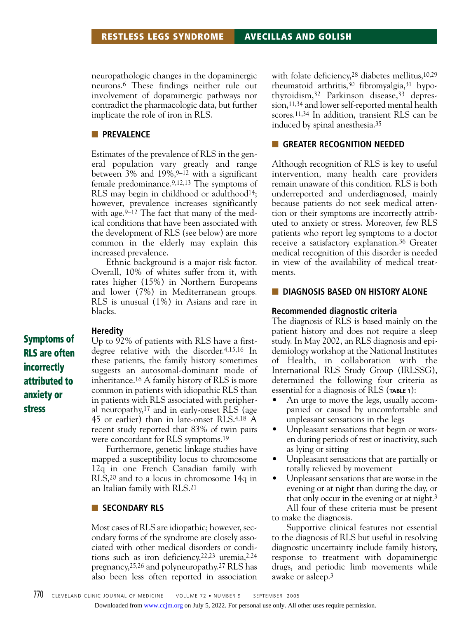neuropathologic changes in the dopaminergic neurons.6 These findings neither rule out involvement of dopaminergic pathways nor contradict the pharmacologic data, but further implicate the role of iron in RLS.

## ■ **PREVALENCE**

Estimates of the prevalence of RLS in the general population vary greatly and range between  $3\%$  and  $19\%, 9-12$  with a significant female predominance.9,12,13 The symptoms of RLS may begin in childhood or adulthood14; however, prevalence increases significantly with age.<sup>9–12</sup> The fact that many of the medical conditions that have been associated with the development of RLS (see below) are more common in the elderly may explain this increased prevalence.

Ethnic background is a major risk factor. Overall, 10% of whites suffer from it, with rates higher (15%) in Northern Europeans and lower (7%) in Mediterranean groups. RLS is unusual (1%) in Asians and rare in blacks.

#### **Heredity**

Up to 92% of patients with RLS have a firstdegree relative with the disorder.4,15,16 In these patients, the family history sometimes suggests an autosomal-dominant mode of inheritance.16 A family history of RLS is more common in patients with idiopathic RLS than in patients with RLS associated with peripheral neuropathy,17 and in early-onset RLS (age 45 or earlier) than in late-onset RLS.4,18 A recent study reported that 83% of twin pairs were concordant for RLS symptoms.19

Furthermore, genetic linkage studies have mapped a susceptibility locus to chromosome 12q in one French Canadian family with RLS,20 and to a locus in chromosome 14q in an Italian family with RLS.21

### ■ **SECONDARY RLS**

Most cases of RLS are idiopathic; however, secondary forms of the syndrome are closely associated with other medical disorders or conditions such as iron deficiency,22,23 uremia,2,24 pregnancy,25,26 and polyneuropathy.27 RLS has also been less often reported in association with folate deficiency,<sup>28</sup> diabetes mellitus,<sup>10,29</sup> rheumatoid arthritis,30 fibromyalgia,31 hypothyroidism,32 Parkinson disease,33 depression,11,34 and lower self-reported mental health scores.11,34 In addition, transient RLS can be induced by spinal anesthesia.35

#### ■ **GREATER RECOGNITION NEEDED**

Although recognition of RLS is key to useful intervention, many health care providers remain unaware of this condition. RLS is both underreported and underdiagnosed, mainly because patients do not seek medical attention or their symptoms are incorrectly attributed to anxiety or stress. Moreover, few RLS patients who report leg symptoms to a doctor receive a satisfactory explanation.36 Greater medical recognition of this disorder is needed in view of the availability of medical treatments.

#### **BUDIAGNOSIS BASED ON HISTORY ALONE**

#### **Recommended diagnostic criteria**

The diagnosis of RLS is based mainly on the patient history and does not require a sleep study. In May 2002, an RLS diagnosis and epidemiology workshop at the National Institutes of Health, in collaboration with the International RLS Study Group (IRLSSG), determined the following four criteria as essential for a diagnosis of RLS (**TABLE 1**):

- An urge to move the legs, usually accompanied or caused by uncomfortable and unpleasant sensations in the legs
- Unpleasant sensations that begin or worsen during periods of rest or inactivity, such as lying or sitting
- Unpleasant sensations that are partially or totally relieved by movement
- Unpleasant sensations that are worse in the evening or at night than during the day, or that only occur in the evening or at night.3 All four of these criteria must be present to make the diagnosis.

Supportive clinical features not essential to the diagnosis of RLS but useful in resolving diagnostic uncertainty include family history, response to treatment with dopaminergic drugs, and periodic limb movements while awake or asleep.3

**Symptoms of RLS are often incorrectly attributed to anxiety or stress**

Downloaded from [www.ccjm.org](http://www.ccjm.org/) on July 5, 2022. For personal use only. All other uses require permission.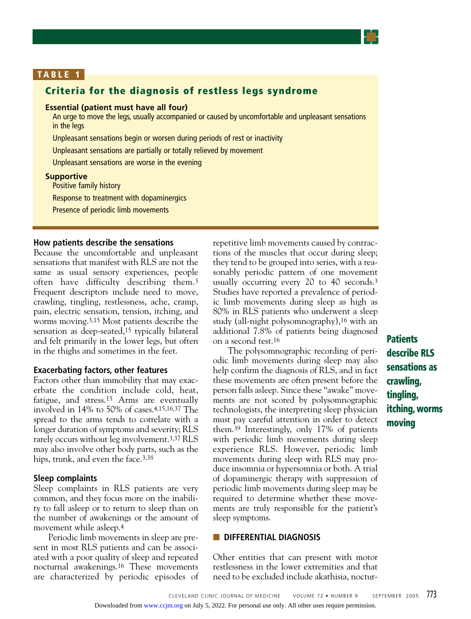

## **TABLE 1**

## **Criteria for the diagnosis of restless legs syndrome**

## **Essential (patient must have all four)**

An urge to move the legs, usually accompanied or caused by uncomfortable and unpleasant sensations in the legs

Unpleasant sensations begin or worsen during periods of rest or inactivity

Unpleasant sensations are partially or totally relieved by movement

Unpleasant sensations are worse in the evening

#### **Supportive**

Positive family history

Response to treatment with dopaminergics

Presence of periodic limb movements

#### **How patients describe the sensations**

Because the uncomfortable and unpleasant sensations that manifest with RLS are not the same as usual sensory experiences, people often have difficulty describing them.3 Frequent descriptors include need to move, crawling, tingling, restlessness, ache, cramp, pain, electric sensation, tension, itching, and worms moving.3,15 Most patients describe the sensation as deep-seated,<sup>15</sup> typically bilateral and felt primarily in the lower legs, but often in the thighs and sometimes in the feet.

#### **Exacerbating factors, other features**

Factors other than immobility that may exacerbate the condition include cold, heat, fatigue, and stress.15 Arms are eventually involved in 14% to 50% of cases.4,15,16,37 The spread to the arms tends to correlate with a longer duration of symptoms and severity; RLS rarely occurs without leg involvement.3,37 RLS may also involve other body parts, such as the hips, trunk, and even the face.<sup>3,38</sup>

#### **Sleep complaints**

Sleep complaints in RLS patients are very common, and they focus more on the inability to fall asleep or to return to sleep than on the number of awakenings or the amount of movement while asleep.4

Periodic limb movements in sleep are present in most RLS patients and can be associated with a poor quality of sleep and repeated nocturnal awakenings.16 These movements are characterized by periodic episodes of

repetitive limb movements caused by contractions of the muscles that occur during sleep; they tend to be grouped into series, with a reasonably periodic pattern of one movement usually occurring every 20 to 40 seconds.3 Studies have reported a prevalence of periodic limb movements during sleep as high as 80% in RLS patients who underwent a sleep study (all-night polysomnography),16 with an additional 7.8% of patients being diagnosed on a second test.16

The polysomnographic recording of periodic limb movements during sleep may also help confirm the diagnosis of RLS, and in fact these movements are often present before the person falls asleep. Since these "awake" movements are not scored by polysomnographic technologists, the interpreting sleep physician must pay careful attention in order to detect them.39 Interestingly, only 17% of patients with periodic limb movements during sleep experience RLS. However, periodic limb movements during sleep with RLS may produce insomnia or hypersomnia or both. A trial of dopaminergic therapy with suppression of periodic limb movements during sleep may be required to determine whether these movements are truly responsible for the patient's sleep symptoms.

## ■ **DIFFERENTIAL DIAGNOSIS**

Other entities that can present with motor restlessness in the lower extremities and that need to be excluded include akathisia, noctur**Patients describe RLS sensations as crawling, tingling, itching, worms moving**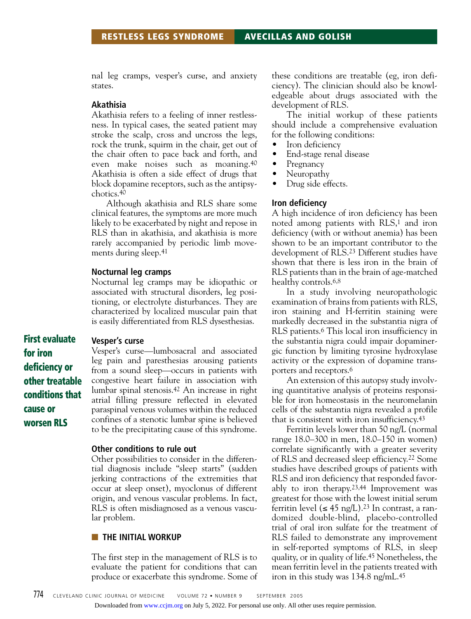nal leg cramps, vesper's curse, and anxiety states.

## **Akathisia**

Akathisia refers to a feeling of inner restlessness. In typical cases, the seated patient may stroke the scalp, cross and uncross the legs, rock the trunk, squirm in the chair, get out of the chair often to pace back and forth, and even make noises such as moaning.40 Akathisia is often a side effect of drugs that block dopamine receptors, such as the antipsychotics.40

Although akathisia and RLS share some clinical features, the symptoms are more much likely to be exacerbated by night and repose in RLS than in akathisia, and akathisia is more rarely accompanied by periodic limb movements during sleep.41

#### **Nocturnal leg cramps**

Nocturnal leg cramps may be idiopathic or associated with structural disorders, leg positioning, or electrolyte disturbances. They are characterized by localized muscular pain that is easily differentiated from RLS dysesthesias.

#### **Vesper's curse**

**for iron deficiency or other treatable conditions that cause or worsen RLS**

**First evaluate**

Vesper's curse—lumbosacral and associated leg pain and paresthesias arousing patients from a sound sleep—occurs in patients with congestive heart failure in association with lumbar spinal stenosis.42 An increase in right atrial filling pressure reflected in elevated paraspinal venous volumes within the reduced confines of a stenotic lumbar spine is believed to be the precipitating cause of this syndrome.

## **Other conditions to rule out**

Other possibilities to consider in the differential diagnosis include "sleep starts" (sudden jerking contractions of the extremities that occur at sleep onset), myoclonus of different origin, and venous vascular problems. In fact, RLS is often misdiagnosed as a venous vascular problem.

#### ■ **THE INITIAL WORKUP**

The first step in the management of RLS is to evaluate the patient for conditions that can produce or exacerbate this syndrome. Some of these conditions are treatable (eg, iron deficiency). The clinician should also be knowledgeable about drugs associated with the development of RLS.

The initial workup of these patients should include a comprehensive evaluation for the following conditions:

- Iron deficiency
- End-stage renal disease
- Pregnancy
- Neuropathy
- Drug side effects.

#### **Iron deficiency**

A high incidence of iron deficiency has been noted among patients with RLS,<sup>1</sup> and iron deficiency (with or without anemia) has been shown to be an important contributor to the development of RLS.23 Different studies have shown that there is less iron in the brain of RLS patients than in the brain of age-matched healthy controls.<sup>6,8</sup>

In a study involving neuropathologic examination of brains from patients with RLS, iron staining and H-ferritin staining were markedly decreased in the substantia nigra of RLS patients.6 This local iron insufficiency in the substantia nigra could impair dopaminergic function by limiting tyrosine hydroxylase activity or the expression of dopamine transporters and receptors.6

An extension of this autopsy study involving quantitative analysis of proteins responsible for iron homeostasis in the neuromelanin cells of the substantia nigra revealed a profile that is consistent with iron insufficiency.43

Ferritin levels lower than 50 ng/L (normal range 18.0–300 in men, 18.0–150 in women) correlate significantly with a greater severity of RLS and decreased sleep efficiency.22 Some studies have described groups of patients with RLS and iron deficiency that responded favorably to iron therapy.23,44 Improvement was greatest for those with the lowest initial serum ferritin level  $(\leq 45 \text{ ng/L})$ .<sup>23</sup> In contrast, a randomized double-blind, placebo-controlled trial of oral iron sulfate for the treatment of RLS failed to demonstrate any improvement in self-reported symptoms of RLS, in sleep quality, or in quality of life.45 Nonetheless, the mean ferritin level in the patients treated with iron in this study was 134.8 ng/mL.45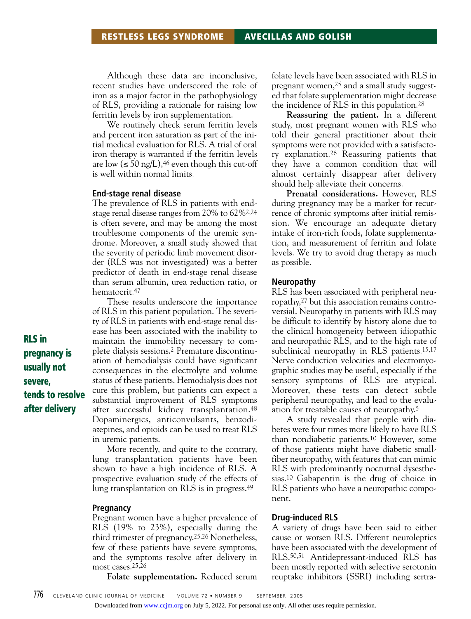Although these data are inconclusive, recent studies have underscored the role of iron as a major factor in the pathophysiology of RLS, providing a rationale for raising low ferritin levels by iron supplementation.

We routinely check serum ferritin levels and percent iron saturation as part of the initial medical evaluation for RLS. A trial of oral iron therapy is warranted if the ferritin levels are low  $(\leq 50 \text{ ng/L})$ , <sup>46</sup> even though this cut-off is well within normal limits.

#### **End-stage renal disease**

The prevalence of RLS in patients with endstage renal disease ranges from 20% to 62%2,24 is often severe, and may be among the most troublesome components of the uremic syndrome. Moreover, a small study showed that the severity of periodic limb movement disorder (RLS was not investigated) was a better predictor of death in end-stage renal disease than serum albumin, urea reduction ratio, or hematocrit.47

These results underscore the importance of RLS in this patient population. The severity of RLS in patients with end-stage renal disease has been associated with the inability to maintain the immobility necessary to complete dialysis sessions.2 Premature discontinuation of hemodialysis could have significant consequences in the electrolyte and volume status of these patients. Hemodialysis does not cure this problem, but patients can expect a substantial improvement of RLS symptoms after successful kidney transplantation.48 Dopaminergics, anticonvulsants, benzodiazepines, and opioids can be used to treat RLS in uremic patients.

More recently, and quite to the contrary, lung transplantation patients have been shown to have a high incidence of RLS. A prospective evaluation study of the effects of lung transplantation on RLS is in progress.49

#### **Pregnancy**

Pregnant women have a higher prevalence of RLS (19% to 23%), especially during the third trimester of pregnancy.25,26 Nonetheless, few of these patients have severe symptoms, and the symptoms resolve after delivery in most cases.25,26

**Folate supplementation.** Reduced serum

folate levels have been associated with RLS in pregnant women,25 and a small study suggested that folate supplementation might decrease the incidence of RLS in this population.28

**Reassuring the patient.** In a different study, most pregnant women with RLS who told their general practitioner about their symptoms were not provided with a satisfactory explanation.26 Reassuring patients that they have a common condition that will almost certainly disappear after delivery should help alleviate their concerns.

**Prenatal considerations.** However, RLS during pregnancy may be a marker for recurrence of chronic symptoms after initial remission. We encourage an adequate dietary intake of iron-rich foods, folate supplementation, and measurement of ferritin and folate levels. We try to avoid drug therapy as much as possible.

#### **Neuropathy**

RLS has been associated with peripheral neuropathy,27 but this association remains controversial. Neuropathy in patients with RLS may be difficult to identify by history alone due to the clinical homogeneity between idiopathic and neuropathic RLS, and to the high rate of subclinical neuropathy in RLS patients.15,17 Nerve conduction velocities and electromyographic studies may be useful, especially if the sensory symptoms of RLS are atypical. Moreover, these tests can detect subtle peripheral neuropathy, and lead to the evaluation for treatable causes of neuropathy.5

A study revealed that people with diabetes were four times more likely to have RLS than nondiabetic patients.10 However, some of those patients might have diabetic smallfiber neuropathy, with features that can mimic RLS with predominantly nocturnal dysesthesias.10 Gabapentin is the drug of choice in RLS patients who have a neuropathic component.

#### **Drug-induced RLS**

A variety of drugs have been said to either cause or worsen RLS. Different neuroleptics have been associated with the development of RLS.50,51 Antidepressant-induced RLS has been mostly reported with selective serotonin reuptake inhibitors (SSRI) including sertra-

**RLS in pregnancy is usually not severe, tends to resolve after delivery**

Downloaded from [www.ccjm.org](http://www.ccjm.org/) on July 5, 2022. For personal use only. All other uses require permission.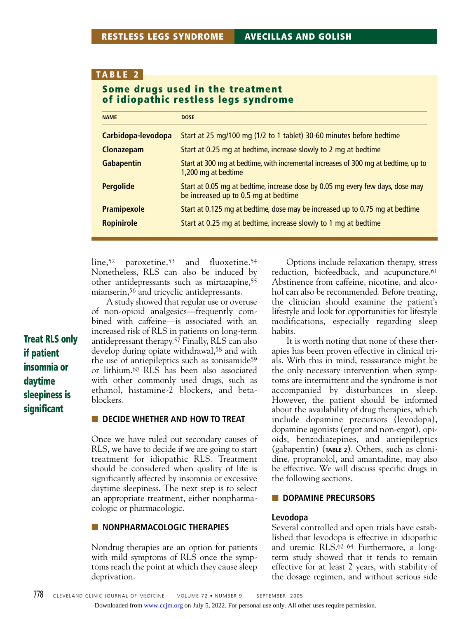## **TABLE 2**

## **Some drugs used in the treatment of idiopathic restless legs syndrome**

| <b>NAME</b>        | <b>DOSE</b>                                                                                                            |
|--------------------|------------------------------------------------------------------------------------------------------------------------|
| Carbidopa-levodopa | Start at 25 mg/100 mg (1/2 to 1 tablet) 30-60 minutes before bedtime                                                   |
| <b>Clonazepam</b>  | Start at 0.25 mg at bedtime, increase slowly to 2 mg at bedtime                                                        |
| <b>Gabapentin</b>  | Start at 300 mg at bedtime, with incremental increases of 300 mg at bedtime, up to<br>1,200 mg at bedtime              |
| <b>Pergolide</b>   | Start at 0.05 mg at bedtime, increase dose by 0.05 mg every few days, dose may<br>be increased up to 0.5 mg at bedtime |
| <b>Pramipexole</b> | Start at 0.125 mg at bedtime, dose may be increased up to 0.75 mg at bedtime                                           |
| <b>Ropinirole</b>  | Start at 0.25 mg at bedtime, increase slowly to 1 mg at bedtime                                                        |

line,<sup>52</sup> paroxetine,<sup>53</sup> and fluoxetine.<sup>54</sup> Nonetheless, RLS can also be induced by other antidepressants such as mirtazapine,55 mianserin,56 and tricyclic antidepressants.

A study showed that regular use or overuse of non-opioid analgesics—frequently combined with caffeine—is associated with an increased risk of RLS in patients on long-term antidepressant therapy.57 Finally, RLS can also develop during opiate withdrawal,<sup>58</sup> and with the use of antiepileptics such as zonisamide<sup>59</sup> or lithium.60 RLS has been also associated with other commonly used drugs, such as ethanol, histamine-2 blockers, and betablockers.

#### **E.** DECIDE WHETHER AND HOW TO TREAT

Once we have ruled out secondary causes of RLS, we have to decide if we are going to start treatment for idiopathic RLS. Treatment should be considered when quality of life is significantly affected by insomnia or excessive daytime sleepiness. The next step is to select an appropriate treatment, either nonpharmacologic or pharmacologic.

## ■ **NONPHARMACOLOGIC THERAPIES**

Nondrug therapies are an option for patients with mild symptoms of RLS once the symptoms reach the point at which they cause sleep deprivation.

Options include relaxation therapy, stress reduction, biofeedback, and acupuncture.<sup>61</sup> Abstinence from caffeine, nicotine, and alcohol can also be recommended. Before treating, the clinician should examine the patient's lifestyle and look for opportunities for lifestyle modifications, especially regarding sleep habits.

It is worth noting that none of these therapies has been proven effective in clinical trials. With this in mind, reassurance might be the only necessary intervention when symptoms are intermittent and the syndrome is not accompanied by disturbances in sleep. However, the patient should be informed about the availability of drug therapies, which include dopamine precursors (levodopa), dopamine agonists (ergot and non-ergot), opioids, benzodiazepines, and antiepileptics (gabapentin) (**TABLE 2**). Others, such as clonidine, propranolol, and amantadine, may also be effective. We will discuss specific drugs in the following sections.

## ■ **DOPAMINE PRECURSORS**

#### **Levodopa**

Several controlled and open trials have established that levodopa is effective in idiopathic and uremic RLS.62–64 Furthermore, a longterm study showed that it tends to remain effective for at least 2 years, with stability of the dosage regimen, and without serious side

**Treat RLS only if patient insomnia or daytime sleepiness is significant**

#### Downloaded from [www.ccjm.org](http://www.ccjm.org/) on July 5, 2022. For personal use only. All other uses require permission.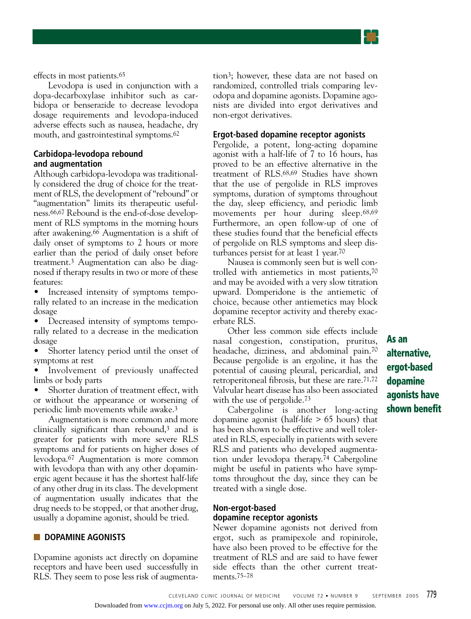

effects in most patients.65

Levodopa is used in conjunction with a dopa-decarboxylase inhibitor such as carbidopa or benserazide to decrease levodopa dosage requirements and levodopa-induced adverse effects such as nausea, headache, dry mouth, and gastrointestinal symptoms.62

## **Carbidopa-levodopa rebound and augmentation**

Although carbidopa-levodopa was traditionally considered the drug of choice for the treatment of RLS, the development of "rebound" or "augmentation" limits its therapeutic usefulness.66,67 Rebound is the end-of-dose development of RLS symptoms in the morning hours after awakening.66 Augmentation is a shift of daily onset of symptoms to 2 hours or more earlier than the period of daily onset before treatment.3 Augmentation can also be diagnosed if therapy results in two or more of these features:

• Increased intensity of symptoms temporally related to an increase in the medication dosage

• Decreased intensity of symptoms temporally related to a decrease in the medication dosage

• Shorter latency period until the onset of symptoms at rest

• Involvement of previously unaffected limbs or body parts

Shorter duration of treatment effect, with or without the appearance or worsening of periodic limb movements while awake.3

Augmentation is more common and more clinically significant than rebound,3 and is greater for patients with more severe RLS symptoms and for patients on higher doses of levodopa.67 Augmentation is more common with levodopa than with any other dopaminergic agent because it has the shortest half-life of any other drug in its class. The development of augmentation usually indicates that the drug needs to be stopped, or that another drug, usually a dopamine agonist, should be tried.

#### ■ **DOPAMINE AGONISTS**

Dopamine agonists act directly on dopamine receptors and have been used successfully in RLS. They seem to pose less risk of augmentation3; however, these data are not based on randomized, controlled trials comparing levodopa and dopamine agonists. Dopamine agonists are divided into ergot derivatives and non-ergot derivatives.

## **Ergot-based dopamine receptor agonists**

Pergolide, a potent, long-acting dopamine agonist with a half-life of 7 to 16 hours, has proved to be an effective alternative in the treatment of RLS.68,69 Studies have shown that the use of pergolide in RLS improves symptoms, duration of symptoms throughout the day, sleep efficiency, and periodic limb movements per hour during sleep.68,69 Furthermore, an open follow-up of one of these studies found that the beneficial effects of pergolide on RLS symptoms and sleep disturbances persist for at least 1 year.70

Nausea is commonly seen but is well controlled with antiemetics in most patients,70 and may be avoided with a very slow titration upward. Domperidone is the antiemetic of choice, because other antiemetics may block dopamine receptor activity and thereby exacerbate RLS.

Other less common side effects include nasal congestion, constipation, pruritus, headache, dizziness, and abdominal pain.70 Because pergolide is an ergoline, it has the potential of causing pleural, pericardial, and retroperitoneal fibrosis, but these are rare.71,72 Valvular heart disease has also been associated with the use of pergolide.<sup>73</sup>

Cabergoline is another long-acting dopamine agonist (half-life > 65 hours) that has been shown to be effective and well tolerated in RLS, especially in patients with severe RLS and patients who developed augmentation under levodopa therapy.74 Cabergoline might be useful in patients who have symptoms throughout the day, since they can be treated with a single dose.

# **Non-ergot-based**

## **dopamine receptor agonists**

Newer dopamine agonists not derived from ergot, such as pramipexole and ropinirole, have also been proved to be effective for the treatment of RLS and are said to have fewer side effects than the other current treatments.75–78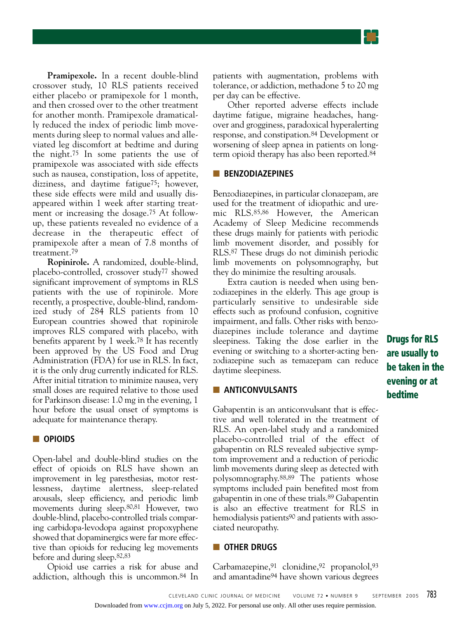**Pramipexole.** In a recent double-blind crossover study, 10 RLS patients received either placebo or pramipexole for 1 month, and then crossed over to the other treatment for another month. Pramipexole dramatically reduced the index of periodic limb movements during sleep to normal values and alleviated leg discomfort at bedtime and during the night.75 In some patients the use of pramipexole was associated with side effects such as nausea, constipation, loss of appetite, dizziness, and daytime fatigue75; however, these side effects were mild and usually disappeared within 1 week after starting treatment or increasing the dosage.75 At followup, these patients revealed no evidence of a decrease in the therapeutic effect of pramipexole after a mean of 7.8 months of treatment.79

**Ropinirole.** A randomized, double-blind, placebo-controlled, crossover study77 showed significant improvement of symptoms in RLS patients with the use of ropinirole. More recently, a prospective, double-blind, randomized study of 284 RLS patients from 10 European countries showed that ropinirole improves RLS compared with placebo, with benefits apparent by 1 week.78 It has recently been approved by the US Food and Drug Administration (FDA) for use in RLS. In fact, it is the only drug currently indicated for RLS. After initial titration to minimize nausea, very small doses are required relative to those used for Parkinson disease: 1.0 mg in the evening, 1 hour before the usual onset of symptoms is adequate for maintenance therapy.

#### ■ **OPIOIDS**

Open-label and double-blind studies on the effect of opioids on RLS have shown an improvement in leg paresthesias, motor restlessness, daytime alertness, sleep-related arousals, sleep efficiency, and periodic limb movements during sleep.80,81 However, two double-blind, placebo-controlled trials comparing carbidopa-levodopa against propoxyphene showed that dopaminergics were far more effective than opioids for reducing leg movements before and during sleep.82,83

Opioid use carries a risk for abuse and addiction, although this is uncommon.84 In patients with augmentation, problems with tolerance, or addiction, methadone 5 to 20 mg per day can be effective.

Other reported adverse effects include daytime fatigue, migraine headaches, hangover and grogginess, paradoxical hyperalerting response, and constipation.84 Development or worsening of sleep apnea in patients on longterm opioid therapy has also been reported.84

#### ■ **BENZODIAZEPINES**

Benzodiazepines, in particular clonazepam, are used for the treatment of idiopathic and uremic RLS.85,86 However, the American Academy of Sleep Medicine recommends these drugs mainly for patients with periodic limb movement disorder, and possibly for RLS.87 These drugs do not diminish periodic limb movements on polysomnography, but they do minimize the resulting arousals.

Extra caution is needed when using benzodiazepines in the elderly. This age group is particularly sensitive to undesirable side effects such as profound confusion, cognitive impairment, and falls. Other risks with benzodiazepines include tolerance and daytime sleepiness. Taking the dose earlier in the evening or switching to a shorter-acting benzodiazepine such as temazepam can reduce daytime sleepiness.

#### ■ **ANTICONVULSANTS**

Gabapentin is an anticonvulsant that is effective and well tolerated in the treatment of RLS. An open-label study and a randomized placebo-controlled trial of the effect of gabapentin on RLS revealed subjective symptom improvement and a reduction of periodic limb movements during sleep as detected with polysomnography.88,89 The patients whose symptoms included pain benefited most from gabapentin in one of these trials.89 Gabapentin is also an effective treatment for RLS in hemodialysis patients<sup>90</sup> and patients with associated neuropathy.

## ■ **OTHER DRUGS**

Carbamazepine, 91 clonidine, 92 propanolol, 93 and amantadine94 have shown various degrees **Drugs for RLS are usually to be taken in the evening or at bedtime**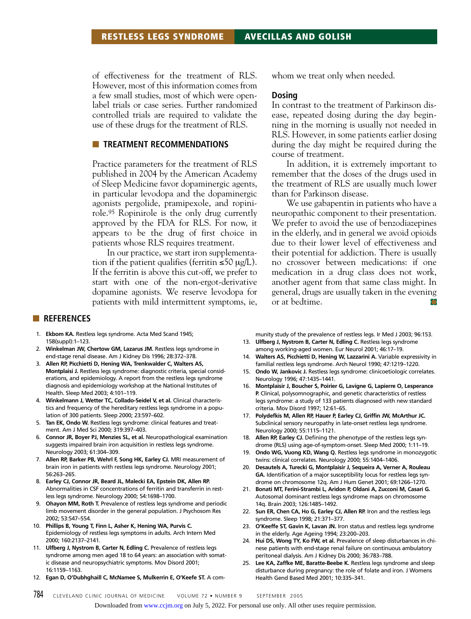of effectiveness for the treatment of RLS. However, most of this information comes from a few small studies, most of which were openlabel trials or case series. Further randomized controlled trials are required to validate the use of these drugs for the treatment of RLS.

#### ■ **TREATMENT RECOMMENDATIONS**

Practice parameters for the treatment of RLS published in 2004 by the American Academy of Sleep Medicine favor dopaminergic agents, in particular levodopa and the dopaminergic agonists pergolide, pramipexole, and ropinirole.95 Ropinirole is the only drug currently approved by the FDA for RLS. For now, it appears to be the drug of first choice in patients whose RLS requires treatment.

In our practice, we start iron supplementation if the patient qualifies (ferritin  $\leq 50 \mu g/L$ ). If the ferritin is above this cut-off, we prefer to start with one of the non-ergot-derivative dopamine agonists. We reserve levodopa for patients with mild intermittent symptoms, ie, whom we treat only when needed.

## **Dosing**

In contrast to the treatment of Parkinson disease, repeated dosing during the day beginning in the morning is usually not needed in RLS. However, in some patients earlier dosing during the day might be required during the course of treatment.

In addition, it is extremely important to remember that the doses of the drugs used in the treatment of RLS are usually much lower than for Parkinson disease.

We use gabapentin in patients who have a neuropathic component to their presentation. We prefer to avoid the use of benzodiazepines in the elderly, and in general we avoid opioids due to their lower level of effectiveness and their potential for addiction. There is usually no crossover between medications: if one medication in a drug class does not work, another agent from that same class might. In general, drugs are usually taken in the evening or at bedtime.

#### ■ **REFERENCES**

- 1. **Ekbom KA.** Restless legs syndrome. Acta Med Scand 1945; 158(suppl):1–123.
- 2. **Winkelman JW, Chertow GM, Lazarus JM.** Restless legs syndrome in end-stage renal disease. Am J Kidney Dis 1996; 28:372–378.
- 3. **Allen RP, Picchietti D, Hening WA, Trenkwalder C, Walters AS, Montplaisi J.** Restless legs syndrome: diagnostic criteria, special considerations, and epidemiology. A report from the restless legs syndrome diagnosis and epidemiology workshop at the National Institutes of Health. Sleep Med 2003; 4:101–119.
- 4. **Winkelmann J, Wetter TC, Collado-Seidel V, et al.** Clinical characteristics and frequency of the hereditary restless legs syndrome in a population of 300 patients. Sleep 2000; 23:597–602.
- 5. **Tan EK, Ondo W.** Restless legs syndrome: clinical features and treatment. Am J Med Sci 2000; 319:397–403.
- 6. **Connor JR, Boyer PJ, Menzies SL, et al.** Neuropathological examination suggests impaired brain iron acquisition in restless legs syndrome. Neurology 2003; 61:304–309.
- 7. **Allen RP, Barker PB, Wehrl F, Song HK, Earley CJ.** MRI measurement of brain iron in patients with restless legs syndrome. Neurology 2001; 56:263–265.
- 8. **Earley CJ, Connor JR, Beard JL, Malecki EA, Epstein DK, Allen RP.** Abnormalities in CSF concentrations of ferritin and transferrin in restless legs syndrome. Neurology 2000; 54:1698–1700.
- 9. **Ohayon MM, Roth T.** Prevalence of restless legs syndrome and periodic limb movement disorder in the general population. J Psychosom Res 2002; 53:547–554.
- 10. **Phillips B, Young T, Finn L, Asher K, Hening WA, Purvis C.** Epidemiology of restless legs symptoms in adults. Arch Intern Med 2000; 160:2137–2141.
- 11. **Ulfberg J, Nystrom B, Carter N, Edling C.** Prevalence of restless legs syndrome among men aged 18 to 64 years: an association with somatic disease and neuropsychiatric symptoms. Mov Disord 2001; 16:1159–1163.
- 12. **Egan D, O'Dubhghaill C, McNamee S, Mulkerrin E, O'Keefe ST.** A com-

munity study of the prevalence of restless legs. Ir Med J 2003; 96:153.

- 13. **Ulfberg J, Nystrom B, Carter N, Edling C.** Restless legs syndrome among working-aged women. Eur Neurol 2001; 46:17–19.
- 14. **Walters AS, Picchietti D, Hening W, Lazzarini A.** Variable expressivity in familial restless legs syndrome. Arch Neurol 1990; 47:1219–1220.
- 15. **Ondo W, Jankovic J.** Restless legs syndrome: clinicoetiologic correlates. Neurology 1996; 47:1435–1441.
- 16. **Montplaisir J, Boucher S, Poirier G, Lavigne G, Lapierre O, Lesperance P.** Clinical, polysomnographic, and genetic characteristics of restless legs syndrome: a study of 133 patients diagnosed with new standard criteria. Mov Disord 1997; 12:61–65.
- 17. **Polydefkis M, Allen RP, Hauer P, Earley CJ, Griffin JW, McArthur JC.** Subclinical sensory neuropathy in late-onset restless legs syndrome. Neurology 2000; 55:1115–1121.
- 18. **Allen RP, Earley CJ.** Defining the phenotype of the restless legs syndrome (RLS) using age-of-symptom-onset. Sleep Med 2000; 1:11–19.
- 19. **Ondo WG, Vuong KD, Wang Q.** Restless legs syndrome in monozygotic twins: clinical correlates. Neurology 2000; 55:1404–1406.
- 20. **Desautels A, Turecki G, Montplaisir J, Sequeira A, Verner A, Rouleau GA.** Identification of a major susceptibility locus for restless legs syndrome on chromosome 12q. Am J Hum Genet 2001; 69:1266–1270.
- 21. **Bonati MT, Ferini-Strambi L, Aridon P, Oldani A, Zucconi M, Casari G.** Autosomal dominant restless legs syndrome maps on chromosome 14q. Brain 2003; 126:1485–1492.
- 22. **Sun ER, Chen CA, Ho G, Earley CJ, Allen RP.** Iron and the restless legs syndrome. Sleep 1998; 21:371–377.
- 23. **O'Keeffe ST, Gavin K, Lavan JN.** Iron status and restless legs syndrome in the elderly. Age Ageing 1994; 23:200–203.
- 24. **Hui DS, Wong TY, Ko FW, et al.** Prevalence of sleep disturbances in chinese patients with end-stage renal failure on continuous ambulatory peritoneal dialysis. Am J Kidney Dis 2000; 36:783–788.
- 25. **Lee KA, Zaffke ME, Baratte-Beebe K.** Restless legs syndrome and sleep disturbance during pregnancy: the role of folate and iron. J Womens Health Gend Based Med 2001; 10:335–341.

784 CLEVELAND CLINIC JOURNAL OF MEDICINE VOLUME 72 • NUMBER 9 SEPTEMBER 2005

Downloaded from [www.ccjm.org](http://www.ccjm.org/) on July 5, 2022. For personal use only. All other uses require permission.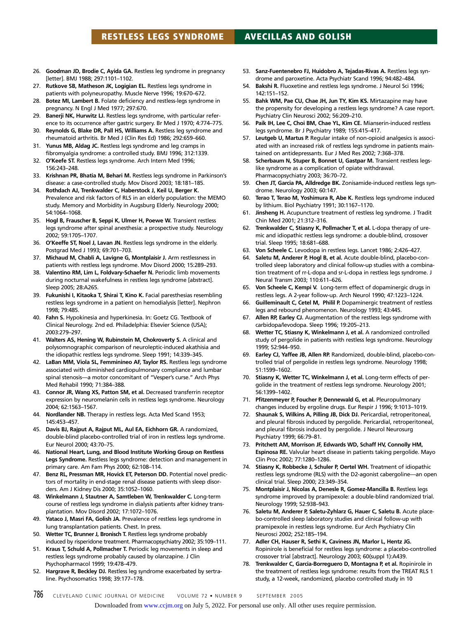- 26. **Goodman JD, Brodie C, Ayida GA.** Restless leg syndrome in pregnancy [letter]. BMJ 1988; 297:1101–1102.
- 27. **Rutkove SB, Matheson JK, Logigian EL.** Restless legs syndrome in patients with polyneuropathy. Muscle Nerve 1996; 19:670–672.
- 28. **Botez MI, Lambert B.** Folate deficiency and restless-legs syndrome in pregnancy. N Engl J Med 1977; 297:670.
- 29. **Banerji NK, Hurwitz LJ.** Restless legs syndrome, with particular reference to its occurrence after gastric surgery. Br Med J 1970; 4:774–775.
- 30. **Reynolds G, Blake DR, Pall HS, Williams A.** Restless leg syndrome and rheumatoid arthritis. Br Med J (Clin Res Ed) 1986; 292:659–660.
- 31. **Yunus MB, Aldag JC.** Restless legs syndrome and leg cramps in fibromyalgia syndrome: a controlled study. BMJ 1996; 312:1339.
- 32. **O'Keefe ST.** Restless legs syndrome. Arch Intern Med 1996; 156:243–248.
- 33. **Krishnan PR, Bhatia M, Behari M.** Restless legs syndrome in Parkinson's disease: a case-controlled study. Mov Disord 2003; 18:181–185.
- 34. **Rothdach AJ, Trenkwalder C, Haberstock J, Keil U, Berger K.** Prevalence and risk factors of RLS in an elderly population: the MEMO study. Memory and Morbidity in Augsburg Elderly. Neurology 2000; 54:1064–1068.
- 35. **Hogl B, Frauscher B, Seppi K, Ulmer H, Poewe W.** Transient restless legs syndrome after spinal anesthesia: a prospective study. Neurology 2002; 59:1705–1707.
- 36. **O'Keeffe ST, Noel J, Lavan JN.** Restless legs syndrome in the elderly. Postgrad Med J 1993; 69:701–703.
- 37. **Michaud M, Chabli A, Lavigne G, Montplaisir J.** Arm restlessness in patients with restless legs syndrome. Mov Disord 2000; 15:289–293.
- 38. **Valentino RM, Lim L, Foldvary-Schaefer N.** Periodic limb movements during nocturnal wakefulness in restless legs syndrome [abstract]. Sleep 2005; 28:A265.
- 39. **Fukunishi I, Kitaoka T, Shirai T, Kino K.** Facial paresthesias resembling restless legs syndrome in a patient on hemodialysis [letter]. Nephron 1998; 79:485.
- 40. **Fahn S.** Hypokinesia and hyperkinesia. In: Goetz CG. Textbook of Clinical Neurology. 2nd ed. Philadelphia: Elsevier Science (USA); 2003:279–297.
- 41. **Walters AS, Hening W, Rubinstein M, Chokroverty S.** A clinical and polysomnographic comparison of neuroleptic-induced akathisia and the idiopathic restless legs syndrome. Sleep 1991; 14:339–345.
- 42. **LaBan MM, Viola SL, Femminineo AF, Taylor RS.** Restless legs syndrome associated with diminished cardiopulmonary compliance and lumbar spinal stenosis—a motor concomitant of "Vesper's curse." Arch Phys Med Rehabil 1990; 71:384–388.
- 43. **Connor JR, Wang XS, Patton SM, et al.** Decreased transferrin receptor expression by neuromelanin cells in restless legs syndrome. Neurology 2004; 62:1563–1567.
- 44. **Nordlander NB.** Therapy in restless legs. Acta Med Scand 1953; 145:453–457.
- 45. **Davis BJ, Rajput A, Rajput ML, Aul EA, Eichhorn GR.** A randomized, double-blind placebo-controlled trial of iron in restless legs syndrome. Eur Neurol 2000; 43:70–75.
- 46. **National Heart, Lung, and Blood Institute Working Group on Restless Legs Syndrome.** Restless legs syndrome: detection and management in primary care. Am Fam Phys 2000; 62:108–114.
- 47. **Benz RL, Pressman MR, Hovick ET, Peterson DD.** Potential novel predictors of mortality in end-stage renal disease patients with sleep disorders. Am J Kidney Dis 2000; 35:1052–1060.
- 48. **Winkelmann J, Stautner A, Samtleben W, Trenkwalder C.** Long-term course of restless legs syndrome in dialysis patients after kidney transplantation. Mov Disord 2002; 17:1072–1076.
- 49. **Yataco J, Masri FA, Golish JA.** Prevalence of restless legs syndrome in lung transplantation patients. Chest. In press.
- 50. **Wetter TC, Brunner J, Bronisch T.** Restless legs syndrome probably induced by risperidone treatment. Pharmacopsychiatry 2002; 35:109–111.
- 51. **Kraus T, Schuld A, Pollmacher T.** Periodic leg movements in sleep and restless legs syndrome probably caused by olanzapine. J Clin Psychopharmacol 1999; 19:478–479.
- 52. **Hargrave R, Beckley DJ.** Restless leg syndrome exacerbated by sertraline. Psychosomatics 1998; 39:177–178.
- 53. **Sanz-Fuentenebro FJ, Huidobro A, Tejadas-Rivas A.** Restless legs syndrome and paroxetine. Acta Psychiatr Scand 1996; 94:482–484.
- 54. **Bakshi R.** Fluoxetine and restless legs syndrome. J Neurol Sci 1996; 142:151–152.
- 55. **Bahk WM, Pae CU, Chae JH, Jun TY, Kim KS.** Mirtazapine may have the propensity for developing a restless legs syndrome? A case report. Psychiatry Clin Neurosci 2002; 56:209–210.
- 56. **Paik IH, Lee C, Choi BM, Chae YL, Kim CE.** Mianserin-induced restless legs syndrome. Br J Psychiatry 1989; 155:415–417.
- 57. **Leutgeb U, Martus P.** Regular intake of non-opioid analgesics is associated with an increased risk of restless legs syndrome in patients maintained on antidepressants. Eur J Med Res 2002; 7:368–378.
- Scherbaum N, Stuper B, Bonnet U, Gastpar M. Transient restless legslike syndrome as a complication of opiate withdrawal. Pharmacopsychiatry 2003; 36:70–72.
- 59. **Chen JT, Garcia PA, Alldredge BK.** Zonisamide-induced restless legs syndrome. Neurology 2003; 60:147.
- 60. **Terao T, Terao M, Yoshimura R, Abe K.** Restless legs syndrome induced by lithium. Biol Psychiatry 1991; 30:1167–1170.
- 61. **Jinsheng H.** Acupuncture treatment of restless leg syndrome. J Tradit Chin Med 2001; 21:312–316.
- 62. **Trenkwalder C, Stiasny K, Pollmacher T, et al.** L-dopa therapy of uremic and idiopathic restless legs syndrome: a double-blind, crossover trial. Sleep 1995; 18:681–688.
- 63. **Von Scheele C.** Levodopa in restless legs. Lancet 1986; 2:426–427.
- 64. **Saletu M, Anderer P, Hogl B, et al.** Acute double-blind, placebo-controlled sleep laboratory and clinical follow-up studies with a combination treatment of rr-L-dopa and sr-L-dopa in restless legs syndrome. J Neural Transm 2003; 110:611–626.
- 65. **Von Scheele C, Kempi V.** Long-term effect of dopaminergic drugs in restless legs. A 2-year follow-up. Arch Neurol 1990; 47:1223–1224.
- 66. **Guilleminault C, Cetel M, Philil P.** Dopaminergic treatment of restless legs and rebound phenomenon. Neurology 1993; 43:445.
- 67. **Allen RP, Earley CJ.** Augmentation of the restless legs syndrome with carbidopa/levodopa. Sleep 1996; 19:205–213.
- 68. **Wetter TC, Stiasny K, Winkelmann J, et al.** A randomized controlled study of pergolide in patients with restless legs syndrome. Neurology 1999; 52:944–950.
- 69. **Earley CJ, Yaffee JB, Allen RP.** Randomized, double-blind, placebo-controlled trial of pergolide in restless legs syndrome. Neurology 1998; 51:1599–1602.
- 70. **Stiasny K, Wetter TC, Winkelmann J, et al.** Long-term effects of pergolide in the treatment of restless legs syndrome. Neurology 2001; 56:1399–1402.
- 71. **Pfitzenmeyer P, Foucher P, Dennewald G, et al.** Pleuropulmonary changes induced by ergoline drugs. Eur Respir J 1996; 9:1013–1019.
- 72. **Shaunak S, Wilkins A, Pilling JB, Dick DJ.** Pericardial, retroperitoneal, and pleural fibrosis induced by pergolide. Pericardial, retroperitoneal, and pleural fibrosis induced by pergolide. J Neurol Neurosurg Psychiatry 1999; 66:79–81.
- 73. **Pritchett AM, Morrison JF, Edwards WD, Schaff HV, Connolly HM, Espinosa RE.** Valvular heart disease in patients taking pergolide. Mayo Clin Proc 2002; 77:1280–1286.
- 74. **Stiasny K, Robbecke J, Schuler P, Oertel WH.** Treatment of idiopathic restless legs syndrome (RLS) with the D2-agonist cabergoline—an open clinical trial. Sleep 2000; 23:349–354.
- 75. **Montplaisir J, Nicolas A, Denesle R, Gomez-Mancilla B.** Restless legs syndrome improved by pramipexole: a double-blind randomized trial. Neurology 1999; 52:938–943.
- 76. **Saletu M, Anderer P, Saletu-Zyhlarz G, Hauer C, Saletu B.** Acute placebo-controlled sleep laboratory studies and clinical follow-up with pramipexole in restless legs syndrome. Eur Arch Psychiatry Clin Neurosci 2002; 252:185–194.
- 77. **Adler CH, Hauser R, Sethi K, Caviness JN, Marlor L, Hentz JG.** Ropinirole is beneficial for restless legs syndrome: a placebo-controlled crossover trial [abstract]. Neurology 2003; 60(suppl 1):A439.
- 78. **Trenkwalder C, Garcia-Borreguero D, Montagna P, et al.** Ropinirole in the treatment of restless legs syndrome: results from the TREAT RLS 1 study, a 12-week, randomized, placebo controlled study in 10

786 CLEVELAND CLINIC JOURNAL OF MEDICINE VOLUME 72 · NUMBER 9 SEPTEMBER 2005